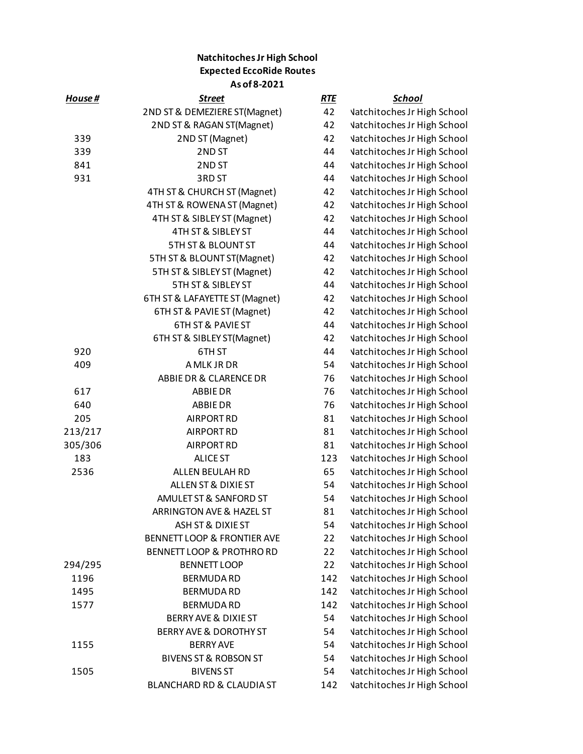## **Natchitoches Jr High School Expected EccoRide Routes As of 8-2021**

| House#  | <u>Street</u>                        | <b>RTE</b> | <u>School</u>                      |
|---------|--------------------------------------|------------|------------------------------------|
|         | 2ND ST & DEMEZIERE ST(Magnet)        | 42         | <b>Vatchitoches Jr High School</b> |
|         | 2ND ST & RAGAN ST(Magnet)            | 42         | <b>Vatchitoches Jr High School</b> |
| 339     | 2ND ST (Magnet)                      | 42         | <b>Vatchitoches Jr High School</b> |
| 339     | 2ND ST                               | 44         | <b>Vatchitoches Jr High School</b> |
| 841     | 2ND ST                               | 44         | <b>Vatchitoches Jr High School</b> |
| 931     | 3RD ST                               | 44         | <b>Vatchitoches Jr High School</b> |
|         | 4TH ST & CHURCH ST (Magnet)          | 42         | <b>Vatchitoches Jr High School</b> |
|         | 4TH ST & ROWENA ST (Magnet)          | 42         | <b>Vatchitoches Jr High School</b> |
|         | 4TH ST & SIBLEY ST (Magnet)          | 42         | <b>Vatchitoches Jr High School</b> |
|         | 4TH ST & SIBLEY ST                   | 44         | <b>Vatchitoches Jr High School</b> |
|         | 5TH ST & BLOUNT ST                   | 44         | <b>Vatchitoches Jr High School</b> |
|         | 5TH ST & BLOUNT ST(Magnet)           | 42         | <b>Vatchitoches Jr High School</b> |
|         | 5TH ST & SIBLEY ST (Magnet)          | 42         | <b>Vatchitoches Jr High School</b> |
|         | 5TH ST & SIBLEY ST                   | 44         | <b>Vatchitoches Jr High School</b> |
|         | 6TH ST & LAFAYETTE ST (Magnet)       | 42         | <b>Vatchitoches Jr High School</b> |
|         | 6TH ST & PAVIE ST (Magnet)           | 42         | <b>Vatchitoches Jr High School</b> |
|         | <b>6TH ST &amp; PAVIE ST</b>         | 44         | <b>Vatchitoches Jr High School</b> |
|         | 6TH ST & SIBLEY ST(Magnet)           | 42         | <b>Vatchitoches Jr High School</b> |
| 920     | 6TH ST                               | 44         | <b>Vatchitoches Jr High School</b> |
| 409     | A MLK JR DR                          | 54         | <b>Vatchitoches Jr High School</b> |
|         | ABBIE DR & CLARENCE DR               | 76         | <b>Vatchitoches Jr High School</b> |
| 617     | <b>ABBIE DR</b>                      | 76         | <b>Vatchitoches Jr High School</b> |
| 640     | <b>ABBIE DR</b>                      | 76         | <b>Vatchitoches Jr High School</b> |
| 205     | <b>AIRPORT RD</b>                    | 81         | <b>Vatchitoches Jr High School</b> |
| 213/217 | <b>AIRPORT RD</b>                    | 81         | <b>Vatchitoches Jr High School</b> |
| 305/306 | <b>AIRPORT RD</b>                    | 81         | <b>Vatchitoches Jr High School</b> |
| 183     | <b>ALICE ST</b>                      | 123        | <b>Vatchitoches Jr High School</b> |
| 2536    | ALLEN BEULAH RD                      | 65         | <b>Vatchitoches Jr High School</b> |
|         | <b>ALLEN ST &amp; DIXIE ST</b>       | 54         | <b>Vatchitoches Jr High School</b> |
|         | AMULET ST & SANFORD ST               | 54         | <b>Vatchitoches Jr High School</b> |
|         | ARRINGTON AVE & HAZEL ST             | 81         | <b>Vatchitoches Jr High School</b> |
|         | ASH ST & DIXIE ST                    | 54         | <b>Vatchitoches Jr High School</b> |
|         | BENNETT LOOP & FRONTIER AVE          | 22         | <b>Vatchitoches Jr High School</b> |
|         | <b>BENNETT LOOP &amp; PROTHRO RD</b> | 22         | <b>Vatchitoches Jr High School</b> |
| 294/295 | <b>BENNETT LOOP</b>                  | 22         | <b>Vatchitoches Jr High School</b> |
| 1196    | <b>BERMUDARD</b>                     | 142        | <b>Vatchitoches Jr High School</b> |
| 1495    | <b>BERMUDA RD</b>                    | 142        | <b>Vatchitoches Jr High School</b> |
| 1577    | <b>BERMUDA RD</b>                    | 142        | <b>Vatchitoches Jr High School</b> |
|         | BERRY AVE & DIXIE ST                 | 54         | <b>Vatchitoches Jr High School</b> |
|         | BERRY AVE & DOROTHY ST               | 54         | <b>Vatchitoches Jr High School</b> |
| 1155    | <b>BERRY AVE</b>                     | 54         | <b>Vatchitoches Jr High School</b> |
|         | <b>BIVENS ST &amp; ROBSON ST</b>     | 54         | <b>Vatchitoches Jr High School</b> |
| 1505    | <b>BIVENS ST</b>                     | 54         | <b>Vatchitoches Jr High School</b> |
|         | BLANCHARD RD & CLAUDIA ST            | 142        | <b>Vatchitoches Jr High School</b> |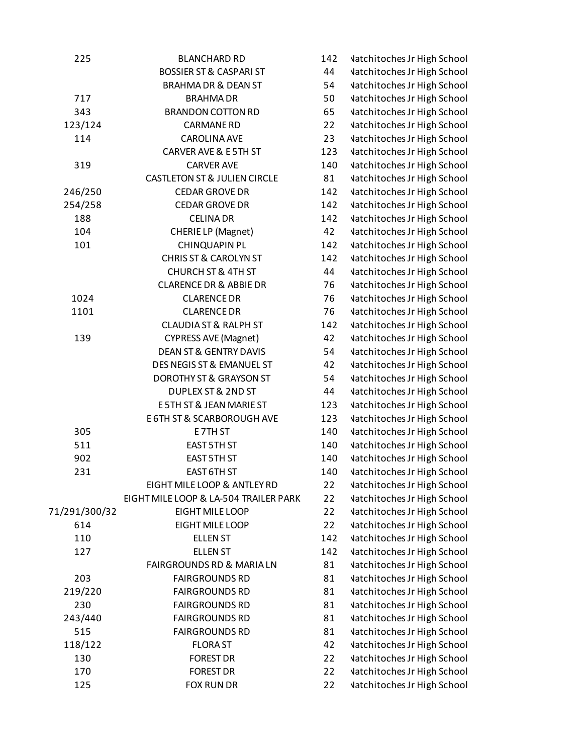| 225           | <b>BLANCHARD RD</b>                     | 142      | <b>Vatchitoches Jr High School</b> |
|---------------|-----------------------------------------|----------|------------------------------------|
|               | <b>BOSSIER ST &amp; CASPARI ST</b>      | 44       | <b>Vatchitoches Jr High School</b> |
|               | <b>BRAHMA DR &amp; DEAN ST</b>          | 54       | <b>Vatchitoches Jr High School</b> |
| 717           | <b>BRAHMADR</b>                         | 50       | <b>Vatchitoches Jr High School</b> |
| 343           | <b>BRANDON COTTON RD</b>                | 65       | <b>Vatchitoches Jr High School</b> |
| 123/124       | <b>CARMANE RD</b>                       | 22       | <b>Vatchitoches Jr High School</b> |
| 114           | <b>CAROLINA AVE</b>                     | 23       | <b>Vatchitoches Jr High School</b> |
|               | CARVER AVE & E5TH ST                    | 123      | <b>Vatchitoches Jr High School</b> |
| 319           | <b>CARVER AVE</b>                       | 140      | <b>Vatchitoches Jr High School</b> |
|               | <b>CASTLETON ST &amp; JULIEN CIRCLE</b> | 81       | <b>Vatchitoches Jr High School</b> |
| 246/250       | <b>CEDAR GROVE DR</b>                   | 142      | <b>Vatchitoches Jr High School</b> |
| 254/258       | <b>CEDAR GROVE DR</b>                   | 142      | <b>Vatchitoches Jr High School</b> |
| 188           | <b>CELINA DR</b>                        | 142      | <b>Vatchitoches Jr High School</b> |
| 104           | <b>CHERIELP</b> (Magnet)                | 42       | <b>Vatchitoches Jr High School</b> |
| 101           | <b>CHINQUAPIN PL</b>                    | 142      | <b>Vatchitoches Jr High School</b> |
|               | <b>CHRIS ST &amp; CAROLYN ST</b>        | 142      | <b>Vatchitoches Jr High School</b> |
|               | <b>CHURCH ST &amp; 4TH ST</b>           | 44       | <b>Vatchitoches Jr High School</b> |
|               | <b>CLARENCE DR &amp; ABBIE DR</b>       | 76       | <b>Vatchitoches Jr High School</b> |
| 1024          | <b>CLARENCE DR</b>                      | 76       | <b>Vatchitoches Jr High School</b> |
| 1101          | <b>CLARENCE DR</b>                      | 76       | <b>Vatchitoches Jr High School</b> |
|               | <b>CLAUDIA ST &amp; RALPH ST</b>        | 142      | <b>Vatchitoches Jr High School</b> |
| 139           | <b>CYPRESS AVE (Magnet)</b>             | 42       | <b>Vatchitoches Jr High School</b> |
|               | <b>DEAN ST &amp; GENTRY DAVIS</b>       | 54       | <b>Vatchitoches Jr High School</b> |
|               | DES NEGIS ST & EMANUEL ST               | 42       | <b>Vatchitoches Jr High School</b> |
|               | DOROTHY ST & GRAYSON ST                 | 54       | <b>Vatchitoches Jr High School</b> |
|               | <b>DUPLEX ST &amp; 2ND ST</b>           | 44       | <b>Vatchitoches Jr High School</b> |
|               | E 5TH ST & JEAN MARIE ST                | 123      | <b>Vatchitoches Jr High School</b> |
|               | E 6TH ST & SCARBOROUGH AVE              | 123      | <b>Vatchitoches Jr High School</b> |
| 305           | E7TH ST                                 | 140      | <b>Vatchitoches Jr High School</b> |
| 511           | EAST 5TH ST                             | 140      | <b>Vatchitoches Jr High School</b> |
| 902           | EAST 5TH ST                             | 140      | <b>Vatchitoches Jr High School</b> |
| 231           | EAST 6TH ST                             | 140      | <b>Vatchitoches Jr High School</b> |
|               | EIGHT MILE LOOP & ANTLEY RD             | 22       | <b>Vatchitoches Jr High School</b> |
|               | EIGHT MILE LOOP & LA-504 TRAILER PARK   | 22       | <b>Vatchitoches Jr High School</b> |
| 71/291/300/32 | EIGHT MILE LOOP                         | 22       | <b>Vatchitoches Jr High School</b> |
| 614           | EIGHT MILE LOOP                         | 22       | <b>Vatchitoches Jr High School</b> |
| 110           | <b>ELLEN ST</b>                         | 142      | <b>Vatchitoches Jr High School</b> |
| 127           | <b>ELLEN ST</b>                         | 142      | <b>Vatchitoches Jr High School</b> |
|               | <b>FAIRGROUNDS RD &amp; MARIA LN</b>    | 81       | <b>Vatchitoches Jr High School</b> |
| 203           | <b>FAIRGROUNDS RD</b>                   | 81       | <b>Vatchitoches Jr High School</b> |
| 219/220       | <b>FAIRGROUNDS RD</b>                   | 81       | <b>Vatchitoches Jr High School</b> |
| 230           | <b>FAIRGROUNDS RD</b>                   | 81       | <b>Vatchitoches Jr High School</b> |
| 243/440       | <b>FAIRGROUNDS RD</b>                   | 81       | <b>Vatchitoches Jr High School</b> |
| 515           | <b>FAIRGROUNDS RD</b>                   |          |                                    |
| 118/122       | <b>FLORAST</b>                          | 81<br>42 | <b>Vatchitoches Jr High School</b> |
| 130           |                                         |          | <b>Vatchitoches Jr High School</b> |
|               | <b>FOREST DR</b>                        | 22       | <b>Vatchitoches Jr High School</b> |
| 170           | <b>FOREST DR</b>                        | 22       | <b>Vatchitoches Jr High School</b> |
| 125           | FOX RUN DR                              | 22       | <b>Vatchitoches Jr High School</b> |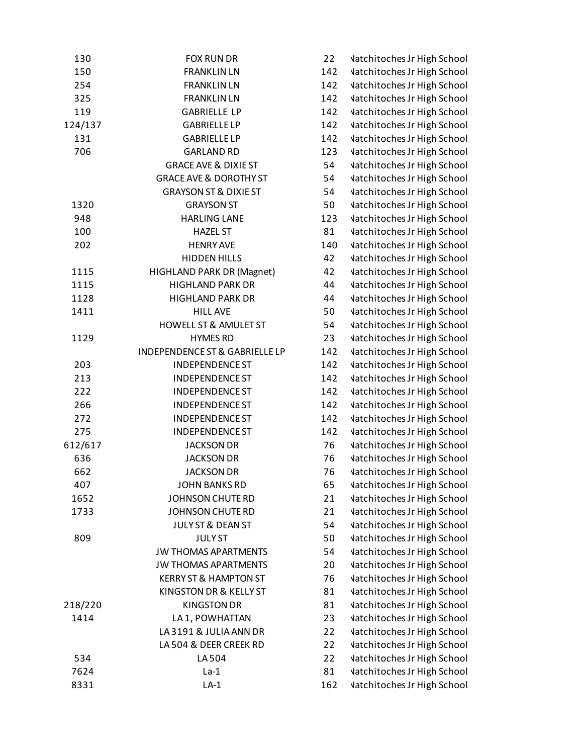| 130     | <b>FOX RUN DR</b>                 | 22  | <b>Vatchitoches Jr High School</b> |
|---------|-----------------------------------|-----|------------------------------------|
| 150     | <b>FRANKLIN LN</b>                | 142 | <b>Vatchitoches Jr High School</b> |
| 254     | <b>FRANKLIN LN</b>                | 142 | <b>Vatchitoches Jr High School</b> |
| 325     | <b>FRANKLIN LN</b>                | 142 | <b>Vatchitoches Jr High School</b> |
| 119     | <b>GABRIELLE LP</b>               | 142 | <b>Vatchitoches Jr High School</b> |
| 124/137 | <b>GABRIELLE LP</b>               | 142 | <b>Vatchitoches Jr High School</b> |
| 131     | <b>GABRIELLE LP</b>               | 142 | <b>Vatchitoches Jr High School</b> |
| 706     | <b>GARLAND RD</b>                 | 123 | <b>Vatchitoches Jr High School</b> |
|         | <b>GRACE AVE &amp; DIXIE ST</b>   | 54  | <b>Vatchitoches Jr High School</b> |
|         | <b>GRACE AVE &amp; DOROTHY ST</b> | 54  | <b>Vatchitoches Jr High School</b> |
|         | <b>GRAYSON ST &amp; DIXIE ST</b>  | 54  | <b>Vatchitoches Jr High School</b> |
| 1320    | <b>GRAYSON ST</b>                 | 50  | <b>Vatchitoches Jr High School</b> |
| 948     | <b>HARLING LANE</b>               | 123 | <b>Vatchitoches Jr High School</b> |
| 100     | <b>HAZEL ST</b>                   | 81  | <b>Vatchitoches Jr High School</b> |
| 202     | <b>HENRY AVE</b>                  | 140 | <b>Vatchitoches Jr High School</b> |
|         | <b>HIDDEN HILLS</b>               | 42  | <b>Vatchitoches Jr High School</b> |
| 1115    | HIGHLAND PARK DR (Magnet)         | 42  | <b>Vatchitoches Jr High School</b> |
| 1115    | <b>HIGHLAND PARK DR</b>           | 44  | <b>Vatchitoches Jr High School</b> |
| 1128    | <b>HIGHLAND PARK DR</b>           | 44  | <b>Vatchitoches Jr High School</b> |
| 1411    | <b>HILL AVE</b>                   | 50  | <b>Vatchitoches Jr High School</b> |
|         | <b>HOWELL ST &amp; AMULET ST</b>  | 54  | <b>Vatchitoches Jr High School</b> |
| 1129    | <b>HYMES RD</b>                   | 23  | <b>Vatchitoches Jr High School</b> |
|         | INDEPENDENCE ST & GABRIELLE LP    | 142 | <b>Vatchitoches Jr High School</b> |
| 203     | <b>INDEPENDENCE ST</b>            | 142 | <b>Vatchitoches Jr High School</b> |
| 213     | <b>INDEPENDENCE ST</b>            | 142 | <b>Vatchitoches Jr High School</b> |
| 222     | <b>INDEPENDENCE ST</b>            | 142 | <b>Vatchitoches Jr High School</b> |
| 266     | <b>INDEPENDENCE ST</b>            | 142 | <b>Vatchitoches Jr High School</b> |
| 272     | <b>INDEPENDENCE ST</b>            | 142 | <b>Vatchitoches Jr High School</b> |
| 275     | <b>INDEPENDENCE ST</b>            | 142 | <b>Vatchitoches Jr High School</b> |
| 612/617 | <b>JACKSON DR</b>                 | 76  | <b>Vatchitoches Jr High School</b> |
| 636     | <b>JACKSON DR</b>                 | 76  | <b>Vatchitoches Jr High School</b> |
| 662     | <b>JACKSON DR</b>                 | 76  | <b>Vatchitoches Jr High School</b> |
| 407     | <b>JOHN BANKS RD</b>              | 65  | <b>Vatchitoches Jr High School</b> |
| 1652    | <b>JOHNSON CHUTE RD</b>           | 21  | <b>Vatchitoches Jr High School</b> |
| 1733    | <b>JOHNSON CHUTE RD</b>           | 21  | <b>Vatchitoches Jr High School</b> |
|         | JULY ST & DEAN ST                 | 54  | <b>Vatchitoches Jr High School</b> |
| 809     | <b>JULYST</b>                     | 50  | <b>Vatchitoches Jr High School</b> |
|         | <b>JW THOMAS APARTMENTS</b>       | 54  | <b>Vatchitoches Jr High School</b> |
|         | <b>JW THOMAS APARTMENTS</b>       | 20  | <b>Vatchitoches Jr High School</b> |
|         | <b>KERRY ST &amp; HAMPTON ST</b>  | 76  | <b>Vatchitoches Jr High School</b> |
|         | KINGSTON DR & KELLY ST            | 81  | <b>Vatchitoches Jr High School</b> |
| 218/220 | <b>KINGSTON DR</b>                | 81  | <b>Vatchitoches Jr High School</b> |
| 1414    | LA 1, POWHATTAN                   | 23  | <b>Vatchitoches Jr High School</b> |
|         | LA3191 & JULIA ANN DR             | 22  | <b>Vatchitoches Jr High School</b> |
|         | LA 504 & DEER CREEK RD            | 22  | <b>Vatchitoches Jr High School</b> |
| 534     | LA 504                            | 22  | <b>Vatchitoches Jr High School</b> |
| 7624    | $La-1$                            | 81  | <b>Vatchitoches Jr High School</b> |
| 8331    | $LA-1$                            | 162 | <b>Vatchitoches Jr High School</b> |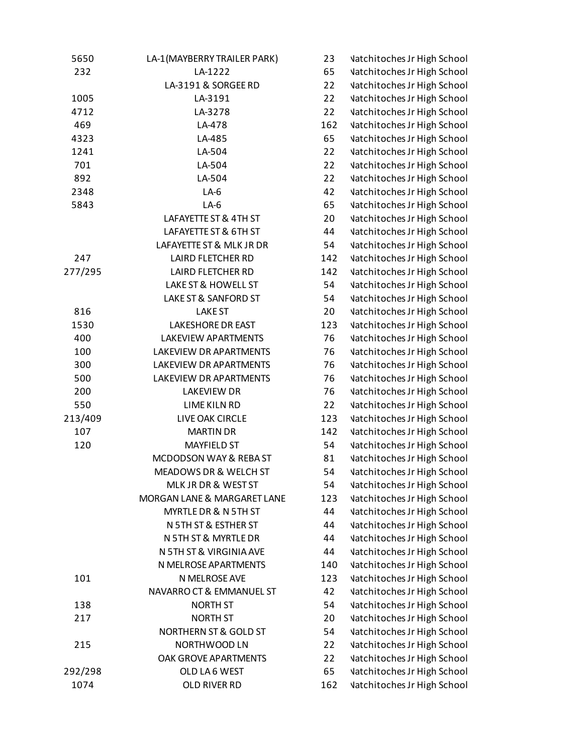| 5650    | LA-1(MAYBERRY TRAILER PARK) | 23  | <b>Vatchitoches Jr High School</b> |
|---------|-----------------------------|-----|------------------------------------|
| 232     | LA-1222                     | 65  | <b>Vatchitoches Jr High School</b> |
|         | LA-3191 & SORGEE RD         | 22  | <b>Vatchitoches Jr High School</b> |
| 1005    | LA-3191                     | 22  | <b>Vatchitoches Jr High School</b> |
| 4712    | LA-3278                     | 22  | <b>Vatchitoches Jr High School</b> |
| 469     | LA-478                      | 162 | <b>Vatchitoches Jr High School</b> |
| 4323    | LA-485                      | 65  | <b>Vatchitoches Jr High School</b> |
| 1241    | LA-504                      | 22  | <b>Vatchitoches Jr High School</b> |
| 701     | LA-504                      | 22  | <b>Vatchitoches Jr High School</b> |
| 892     | LA-504                      | 22  | <b>Vatchitoches Jr High School</b> |
| 2348    | $LA-6$                      | 42  | <b>Vatchitoches Jr High School</b> |
| 5843    | $LA-6$                      | 65  | <b>Vatchitoches Jr High School</b> |
|         | LAFAYETTE ST & 4TH ST       | 20  | <b>Vatchitoches Jr High School</b> |
|         | LAFAYETTE ST & 6TH ST       | 44  | <b>Vatchitoches Jr High School</b> |
|         | LAFAYETTE ST & MLK JR DR    | 54  | <b>Vatchitoches Jr High School</b> |
| 247     | <b>LAIRD FLETCHER RD</b>    | 142 | <b>Vatchitoches Jr High School</b> |
| 277/295 | <b>LAIRD FLETCHER RD</b>    | 142 | <b>Vatchitoches Jr High School</b> |
|         | LAKE ST & HOWELL ST         | 54  | <b>Vatchitoches Jr High School</b> |
|         | LAKE ST & SANFORD ST        | 54  | <b>Vatchitoches Jr High School</b> |
| 816     | <b>LAKE ST</b>              | 20  | <b>Vatchitoches Jr High School</b> |
| 1530    | <b>LAKESHORE DR EAST</b>    | 123 | <b>Vatchitoches Jr High School</b> |
| 400     | LAKEVIEW APARTMENTS         | 76  | <b>Vatchitoches Jr High School</b> |
| 100     | LAKEVIEW DR APARTMENTS      | 76  | <b>Vatchitoches Jr High School</b> |
| 300     | LAKEVIEW DR APARTMENTS      | 76  | <b>Vatchitoches Jr High School</b> |
| 500     | LAKEVIEW DR APARTMENTS      | 76  | <b>Vatchitoches Jr High School</b> |
| 200     | <b>LAKEVIEW DR</b>          | 76  | <b>Vatchitoches Jr High School</b> |
| 550     | <b>LIME KILN RD</b>         | 22  | <b>Vatchitoches Jr High School</b> |
| 213/409 | LIVE OAK CIRCLE             | 123 | <b>Vatchitoches Jr High School</b> |
| 107     | <b>MARTIN DR</b>            | 142 | <b>Vatchitoches Jr High School</b> |
| 120     | <b>MAYFIELD ST</b>          | 54  | <b>Vatchitoches Jr High School</b> |
|         | MCDODSON WAY & REBA ST      | 81  | <b>Vatchitoches Jr High School</b> |
|         | MEADOWS DR & WELCH ST       | 54  | <b>Vatchitoches Jr High School</b> |
|         | MLK JR DR & WEST ST         | 54  | <b>Vatchitoches Jr High School</b> |
|         | MORGAN LANE & MARGARET LANE | 123 | <b>Vatchitoches Jr High School</b> |
|         | MYRTLE DR & N 5TH ST        | 44  | <b>Vatchitoches Jr High School</b> |
|         | N 5TH ST & ESTHER ST        | 44  | <b>Vatchitoches Jr High School</b> |
|         | N 5TH ST & MYRTLE DR        | 44  | <b>Vatchitoches Jr High School</b> |
|         | N 5TH ST & VIRGINIA AVE     | 44  | <b>Vatchitoches Jr High School</b> |
|         | N MELROSE APARTMENTS        | 140 | <b>Vatchitoches Jr High School</b> |
| 101     | N MELROSE AVE               | 123 | <b>Vatchitoches Jr High School</b> |
|         | NAVARRO CT & EMMANUEL ST    | 42  | <b>Vatchitoches Jr High School</b> |
| 138     | <b>NORTH ST</b>             | 54  | <b>Vatchitoches Jr High School</b> |
| 217     | <b>NORTH ST</b>             | 20  | <b>Vatchitoches Jr High School</b> |
|         | NORTHERN ST & GOLD ST       | 54  | <b>Vatchitoches Jr High School</b> |
| 215     | NORTHWOOD LN                | 22  | <b>Vatchitoches Jr High School</b> |
|         | OAK GROVE APARTMENTS        | 22  | <b>Vatchitoches Jr High School</b> |
| 292/298 | OLD LA6 WEST                | 65  | <b>Vatchitoches Jr High School</b> |
| 1074    | OLD RIVER RD                | 162 | <b>Vatchitoches Jr High School</b> |
|         |                             |     |                                    |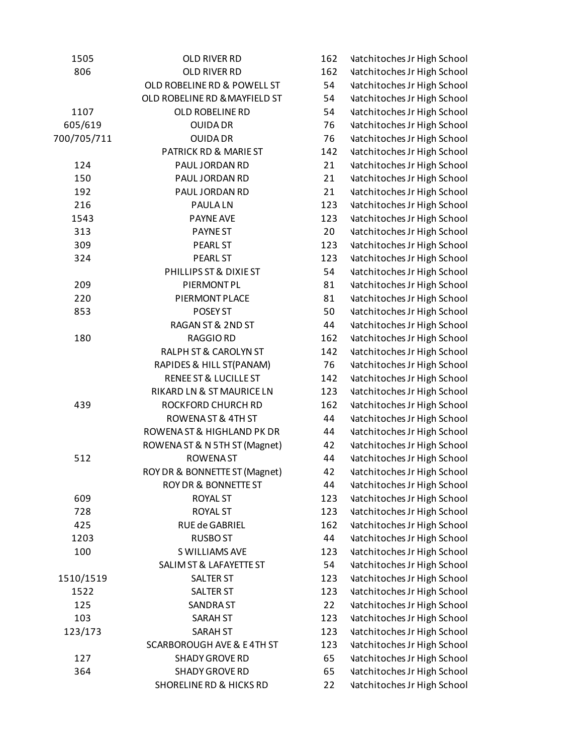| 1505        | OLD RIVER RD                         | 162 | <b>Vatchitoches Jr High School</b> |
|-------------|--------------------------------------|-----|------------------------------------|
| 806         | <b>OLD RIVER RD</b>                  | 162 | <b>Vatchitoches Jr High School</b> |
|             | OLD ROBELINE RD & POWELL ST          | 54  | <b>Vatchitoches Jr High School</b> |
|             | OLD ROBELINE RD & MAYFIELD ST        | 54  | <b>Vatchitoches Jr High School</b> |
| 1107        | OLD ROBELINE RD                      | 54  | <b>Vatchitoches Jr High School</b> |
| 605/619     | <b>OUIDA DR</b>                      | 76  | <b>Vatchitoches Jr High School</b> |
| 700/705/711 | <b>OUIDA DR</b>                      | 76  | <b>Vatchitoches Jr High School</b> |
|             | PATRICK RD & MARIE ST                | 142 | <b>Vatchitoches Jr High School</b> |
| 124         | PAUL JORDAN RD                       | 21  | <b>Vatchitoches Jr High School</b> |
| 150         | PAUL JORDAN RD                       | 21  | <b>Vatchitoches Jr High School</b> |
| 192         | PAUL JORDAN RD                       | 21  | <b>Vatchitoches Jr High School</b> |
| 216         | <b>PAULALN</b>                       | 123 | <b>Vatchitoches Jr High School</b> |
| 1543        | <b>PAYNE AVE</b>                     | 123 | <b>Vatchitoches Jr High School</b> |
| 313         | <b>PAYNEST</b>                       | 20  | <b>Vatchitoches Jr High School</b> |
| 309         | <b>PEARL ST</b>                      | 123 | <b>Vatchitoches Jr High School</b> |
| 324         | <b>PEARL ST</b>                      | 123 | <b>Vatchitoches Jr High School</b> |
|             | PHILLIPS ST & DIXIE ST               | 54  | <b>Vatchitoches Jr High School</b> |
| 209         | PIERMONT PL                          | 81  | <b>Vatchitoches Jr High School</b> |
| 220         | PIERMONT PLACE                       | 81  | <b>Vatchitoches Jr High School</b> |
| 853         | POSEY ST                             | 50  | <b>Vatchitoches Jr High School</b> |
|             | RAGAN ST & 2ND ST                    | 44  | <b>Vatchitoches Jr High School</b> |
| 180         | RAGGIO RD                            | 162 | <b>Vatchitoches Jr High School</b> |
|             | RALPH ST & CAROLYN ST                | 142 | <b>Vatchitoches Jr High School</b> |
|             | RAPIDES & HILL ST(PANAM)             | 76  | <b>Vatchitoches Jr High School</b> |
|             | <b>RENEE ST &amp; LUCILLE ST</b>     | 142 | <b>Vatchitoches Jr High School</b> |
|             | RIKARD LN & ST MAURICE LN            | 123 | <b>Vatchitoches Jr High School</b> |
| 439         | ROCKFORD CHURCH RD                   | 162 | <b>Vatchitoches Jr High School</b> |
|             | ROWENA ST & 4TH ST                   | 44  | <b>Vatchitoches Jr High School</b> |
|             | ROWENA ST & HIGHLAND PK DR           | 44  | <b>Vatchitoches Jr High School</b> |
|             | ROWENA ST & N 5TH ST (Magnet)        | 42  | <b>Vatchitoches Jr High School</b> |
| 512         | <b>ROWENA ST</b>                     | 44  | <b>Vatchitoches Jr High School</b> |
|             | ROY DR & BONNETTE ST (Magnet)        | 42  | <b>Vatchitoches Jr High School</b> |
|             | <b>ROY DR &amp; BONNETTE ST</b>      | 44  | <b>Vatchitoches Jr High School</b> |
| 609         | <b>ROYAL ST</b>                      | 123 | <b>Vatchitoches Jr High School</b> |
| 728         | <b>ROYAL ST</b>                      | 123 | <b>Vatchitoches Jr High School</b> |
| 425         | RUE de GABRIEL                       | 162 | <b>Vatchitoches Jr High School</b> |
| 1203        | <b>RUSBO ST</b>                      | 44  | <b>Vatchitoches Jr High School</b> |
| 100         | S WILLIAMS AVE                       | 123 | <b>Vatchitoches Jr High School</b> |
|             | SALIM ST & LAFAYETTE ST              | 54  | <b>Vatchitoches Jr High School</b> |
| 1510/1519   | <b>SALTER ST</b>                     | 123 | <b>Vatchitoches Jr High School</b> |
| 1522        | <b>SALTER ST</b>                     | 123 | <b>Vatchitoches Jr High School</b> |
| 125         | <b>SANDRA ST</b>                     | 22  | <b>Vatchitoches Jr High School</b> |
| 103         | <b>SARAH ST</b>                      | 123 | <b>Vatchitoches Jr High School</b> |
| 123/173     | <b>SARAH ST</b>                      | 123 | <b>Vatchitoches Jr High School</b> |
|             | <b>SCARBOROUGH AVE &amp; E4TH ST</b> | 123 | <b>Vatchitoches Jr High School</b> |
| 127         | <b>SHADY GROVE RD</b>                | 65  | <b>Vatchitoches Jr High School</b> |
| 364         | <b>SHADY GROVE RD</b>                | 65  | <b>Vatchitoches Jr High School</b> |
|             | <b>SHORELINE RD &amp; HICKS RD</b>   | 22  | <b>Vatchitoches Jr High School</b> |
|             |                                      |     |                                    |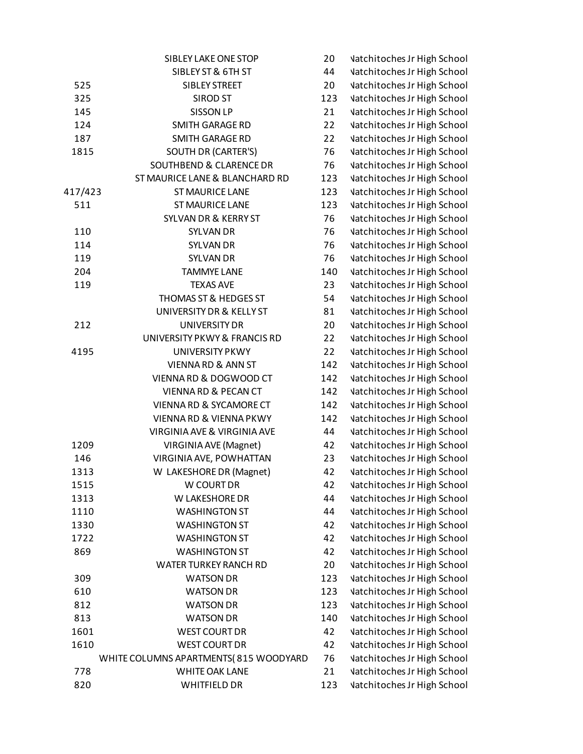|         | SIBLEY LAKE ONE STOP                  | 20  | <b>Vatchitoches Jr High School</b> |
|---------|---------------------------------------|-----|------------------------------------|
|         | SIBLEY ST & 6TH ST                    | 44  | <b>Vatchitoches Jr High School</b> |
| 525     | <b>SIBLEY STREET</b>                  | 20  | <b>Vatchitoches Jr High School</b> |
| 325     | <b>SIROD ST</b>                       | 123 | <b>Vatchitoches Jr High School</b> |
| 145     | <b>SISSON LP</b>                      | 21  | <b>Vatchitoches Jr High School</b> |
| 124     | <b>SMITH GARAGE RD</b>                | 22  | <b>Vatchitoches Jr High School</b> |
| 187     | <b>SMITH GARAGE RD</b>                | 22  | <b>Vatchitoches Jr High School</b> |
| 1815    | SOUTH DR (CARTER'S)                   | 76  | <b>Vatchitoches Jr High School</b> |
|         | <b>SOUTHBEND &amp; CLARENCE DR</b>    | 76  | <b>Vatchitoches Jr High School</b> |
|         | ST MAURICE LANE & BLANCHARD RD        | 123 | <b>Vatchitoches Jr High School</b> |
| 417/423 | <b>ST MAURICE LANE</b>                | 123 | <b>Vatchitoches Jr High School</b> |
| 511     | <b>ST MAURICE LANE</b>                | 123 | <b>Vatchitoches Jr High School</b> |
|         | <b>SYLVAN DR &amp; KERRY ST</b>       | 76  | <b>Vatchitoches Jr High School</b> |
| 110     | <b>SYLVAN DR</b>                      | 76  | <b>Vatchitoches Jr High School</b> |
| 114     | <b>SYLVAN DR</b>                      | 76  | <b>Vatchitoches Jr High School</b> |
| 119     | <b>SYLVAN DR</b>                      | 76  | <b>Vatchitoches Jr High School</b> |
| 204     | <b>TAMMYE LANE</b>                    | 140 | <b>Vatchitoches Jr High School</b> |
| 119     | <b>TEXAS AVE</b>                      | 23  | <b>Vatchitoches Jr High School</b> |
|         | THOMAS ST & HEDGES ST                 | 54  | <b>Vatchitoches Jr High School</b> |
|         | UNIVERSITY DR & KELLY ST              | 81  | <b>Vatchitoches Jr High School</b> |
| 212     | <b>UNIVERSITY DR</b>                  | 20  | <b>Vatchitoches Jr High School</b> |
|         | UNIVERSITY PKWY & FRANCIS RD          | 22  | <b>Vatchitoches Jr High School</b> |
| 4195    | <b>UNIVERSITY PKWY</b>                | 22  | <b>Vatchitoches Jr High School</b> |
|         | <b>VIENNA RD &amp; ANN ST</b>         | 142 | <b>Vatchitoches Jr High School</b> |
|         | VIENNA RD & DOGWOOD CT                | 142 | <b>Vatchitoches Jr High School</b> |
|         | <b>VIENNA RD &amp; PECAN CT</b>       | 142 | <b>Vatchitoches Jr High School</b> |
|         | VIENNA RD & SYCAMORE CT               | 142 | <b>Vatchitoches Jr High School</b> |
|         | <b>VIENNA RD &amp; VIENNA PKWY</b>    | 142 | <b>Vatchitoches Jr High School</b> |
|         | VIRGINIA AVE & VIRGINIA AVE           | 44  | <b>Vatchitoches Jr High School</b> |
| 1209    |                                       | 42  | <b>Vatchitoches Jr High School</b> |
| 146     | VIRGINIA AVE (Magnet)                 | 23  | <b>Vatchitoches Jr High School</b> |
|         | VIRGINIA AVE, POWHATTAN               |     |                                    |
| 1313    | W LAKESHORE DR (Magnet)               | 42  | <b>Vatchitoches Jr High School</b> |
| 1515    | W COURT DR                            | 42  | <b>Vatchitoches Jr High School</b> |
| 1313    | W LAKESHORE DR                        | 44  | <b>Vatchitoches Jr High School</b> |
| 1110    | <b>WASHINGTON ST</b>                  | 44  | <b>Vatchitoches Jr High School</b> |
| 1330    | <b>WASHINGTON ST</b>                  | 42  | <b>Vatchitoches Jr High School</b> |
| 1722    | <b>WASHINGTON ST</b>                  | 42  | <b>Vatchitoches Jr High School</b> |
| 869     | <b>WASHINGTON ST</b>                  | 42  | <b>Vatchitoches Jr High School</b> |
|         | <b>WATER TURKEY RANCH RD</b>          | 20  | <b>Vatchitoches Jr High School</b> |
| 309     | <b>WATSON DR</b>                      | 123 | <b>Vatchitoches Jr High School</b> |
| 610     | <b>WATSON DR</b>                      | 123 | <b>Vatchitoches Jr High School</b> |
| 812     | <b>WATSON DR</b>                      | 123 | <b>Vatchitoches Jr High School</b> |
| 813     | <b>WATSON DR</b>                      | 140 | <b>Vatchitoches Jr High School</b> |
| 1601    | <b>WEST COURT DR</b>                  | 42  | <b>Vatchitoches Jr High School</b> |
| 1610    | <b>WEST COURT DR</b>                  | 42  | <b>Vatchitoches Jr High School</b> |
|         | WHITE COLUMNS APARTMENTS(815 WOODYARD | 76  | <b>Vatchitoches Jr High School</b> |
| 778     | WHITE OAK LANE                        | 21  | <b>Vatchitoches Jr High School</b> |
| 820     | <b>WHITFIELD DR</b>                   | 123 | <b>Vatchitoches Jr High School</b> |